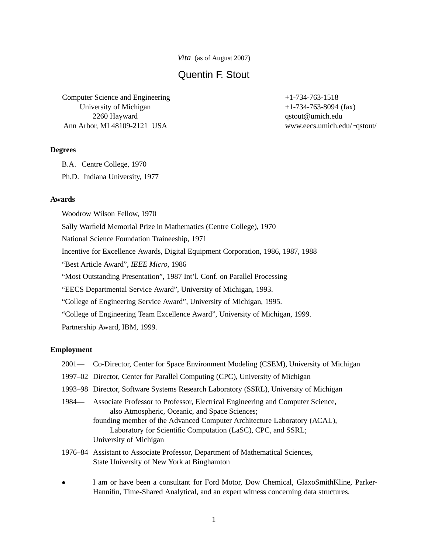*Vita* (as of August 2007)

# Quentin F. Stout

Computer Science and Engineering University of Michigan 2260 Hayward Ann Arbor, MI 48109-2121 USA

### **Degrees**

B.A. Centre College, 1970

Ph.D. Indiana University, 1977

### **Awards**

Woodrow Wilson Fellow, 1970 Sally Warfield Memorial Prize in Mathematics (Centre College), 1970 National Science Foundation Traineeship, 1971 Incentive for Excellence Awards, Digital Equipment Corporation, 1986, 1987, 1988 "Best Article Award", *IEEE Micro*, 1986 "Most Outstanding Presentation", 1987 Int'l. Conf. on Parallel Processing "EECS Departmental Service Award", University of Michigan, 1993. "College of Engineering Service Award", University of Michigan, 1995. "College of Engineering Team Excellence Award", University of Michigan, 1999. Partnership Award, IBM, 1999.

## **Employment**

- 2001— Co-Director, Center for Space Environment Modeling (CSEM), University of Michigan
- 1997–02 Director, Center for Parallel Computing (CPC), University of Michigan
- 1993–98 Director, Software Systems Research Laboratory (SSRL), University of Michigan
- 1984— Associate Professor to Professor, Electrical Engineering and Computer Science, also Atmospheric, Oceanic, and Space Sciences; founding member of the Advanced Computer Architecture Laboratory (ACAL), Laboratory for Scientific Computation (LaSC), CPC, and SSRL; University of Michigan
- 1976–84 Assistant to Associate Professor, Department of Mathematical Sciences, State University of New York at Binghamton
- I am or have been a consultant for Ford Motor, Dow Chemical, GlaxoSmithKline, Parker-Hannifin, Time-Shared Analytical, and an expert witness concerning data structures.

 $+1-734-763-1518$ +1-734-763-8094 (fax) qstout@umich.edu www.eecs.umich.edu/ ˜qstout/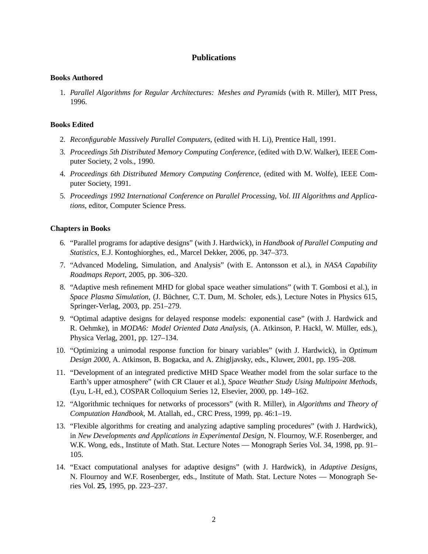# **Publications**

### **Books Authored**

1. *Parallel Algorithms for Regular Architectures: Meshes and Pyramids* (with R. Miller), MIT Press, 1996.

## **Books Edited**

- 2. *Reconfigurable Massively Parallel Computers*, (edited with H. Li), Prentice Hall, 1991.
- 3. *Proceedings 5th Distributed Memory Computing Conference*, (edited with D.W. Walker), IEEE Computer Society, 2 vols., 1990.
- 4. *Proceedings 6th Distributed Memory Computing Conference*, (edited with M. Wolfe), IEEE Computer Society, 1991.
- 5. *Proceedings 1992 International Conference on Parallel Processing, Vol. III Algorithms and Applications*, editor, Computer Science Press.

## **Chapters in Books**

- 6. "Parallel programs for adaptive designs" (with J. Hardwick), in *Handbook of Parallel Computing and Statistics*, E.J. Kontoghiorghes, ed., Marcel Dekker, 2006, pp. 347–373.
- 7. "Advanced Modeling, Simulation, and Analysis" (with E. Antonsson et al.), in *NASA Capability Roadmaps Report*, 2005, pp. 306–320.
- 8. "Adaptive mesh refinement MHD for global space weather simulations" (with T. Gombosi et al.), in *Space Plasma Simulation*, (J. Büchner, C.T. Dum, M. Scholer, eds.), Lecture Notes in Physics 615, Springer-Verlag, 2003, pp. 251–279.
- 9. "Optimal adaptive designs for delayed response models: exponential case" (with J. Hardwick and R. Oehmke), in *MODA6: Model Oriented Data Analysis*, (A. Atkinson, P. Hackl, W. Müller, eds.), Physica Verlag, 2001, pp. 127–134.
- 10. "Optimizing a unimodal response function for binary variables" (with J. Hardwick), in *Optimum Design 2000*, A. Atkinson, B. Bogacka, and A. Zhigljavsky, eds., Kluwer, 2001, pp. 195–208.
- 11. "Development of an integrated predictive MHD Space Weather model from the solar surface to the Earth's upper atmosphere" (with CR Clauer et al.), *Space Weather Study Using Multipoint Methods*, (Lyu, L-H, ed.), COSPAR Colloquium Series 12, Elsevier, 2000, pp. 149–162.
- 12. "Algorithmic techniques for networks of processors" (with R. Miller), in *Algorithms and Theory of Computation Handbook*, M. Atallah, ed., CRC Press, 1999, pp. 46:1–19.
- 13. "Flexible algorithms for creating and analyzing adaptive sampling procedures" (with J. Hardwick), in *New Developments and Applications in Experimental Design*, N. Flournoy, W.F. Rosenberger, and W.K. Wong, eds., Institute of Math. Stat. Lecture Notes — Monograph Series Vol. 34, 1998, pp. 91– 105.
- 14. "Exact computational analyses for adaptive designs" (with J. Hardwick), in *Adaptive Designs*, N. Flournoy and W.F. Rosenberger, eds., Institute of Math. Stat. Lecture Notes — Monograph Series Vol. **25**, 1995, pp. 223–237.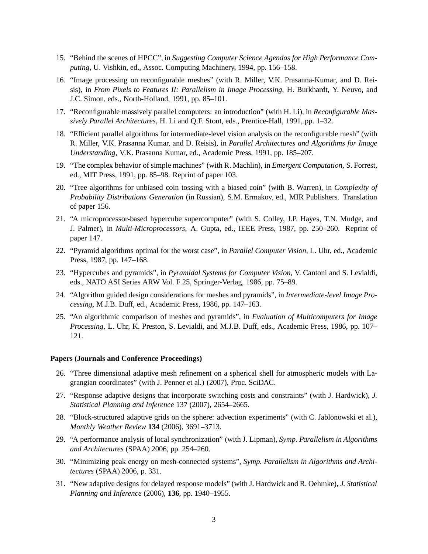- 15. "Behind the scenes of HPCC", in *Suggesting Computer Science Agendas for High Performance Computing*, U. Vishkin, ed., Assoc. Computing Machinery, 1994, pp. 156–158.
- 16. "Image processing on reconfigurable meshes" (with R. Miller, V.K. Prasanna-Kumar, and D. Reisis), in *From Pixels to Features II: Parallelism in Image Processing*, H. Burkhardt, Y. Neuvo, and J.C. Simon, eds., North-Holland, 1991, pp. 85–101.
- 17. "Reconfigurable massively parallel computers: an introduction" (with H. Li), in *Reconfigurable Massively Parallel Architectures*, H. Li and Q.F. Stout, eds., Prentice-Hall, 1991, pp. 1–32.
- 18. "Efficient parallel algorithms for intermediate-level vision analysis on the reconfigurable mesh" (with R. Miller, V.K. Prasanna Kumar, and D. Reisis), in *Parallel Architectures and Algorithms for Image Understanding*, V.K. Prasanna Kumar, ed., Academic Press, 1991, pp. 185–207.
- 19. "The complex behavior of simple machines" (with R. Machlin), in *Emergent Computation*, S. Forrest, ed., MIT Press, 1991, pp. 85–98. Reprint of paper 103.
- 20. "Tree algorithms for unbiased coin tossing with a biased coin" (with B. Warren), in *Complexity of Probability Distributions Generation* (in Russian), S.M. Ermakov, ed., MIR Publishers. Translation of paper 156.
- 21. "A microprocessor-based hypercube supercomputer" (with S. Colley, J.P. Hayes, T.N. Mudge, and J. Palmer), in *Multi-Microprocessors*, A. Gupta, ed., IEEE Press, 1987, pp. 250–260. Reprint of paper 147.
- 22. "Pyramid algorithms optimal for the worst case", in *Parallel Computer Vision*, L. Uhr, ed., Academic Press, 1987, pp. 147–168.
- 23. "Hypercubes and pyramids", in *Pyramidal Systems for Computer Vision*, V. Cantoni and S. Levialdi, eds., NATO ASI Series ARW Vol. F 25, Springer-Verlag, 1986, pp. 75–89.
- 24. "Algorithm guided design considerations for meshes and pyramids", in *Intermediate-level Image Processing*, M.J.B. Duff, ed., Academic Press, 1986, pp. 147–163.
- 25. "An algorithmic comparison of meshes and pyramids", in *Evaluation of Multicomputers for Image Processing*, L. Uhr, K. Preston, S. Levialdi, and M.J.B. Duff, eds., Academic Press, 1986, pp. 107– 121.

#### **Papers (Journals and Conference Proceedings)**

- 26. "Three dimensional adaptive mesh refinement on a spherical shell for atmospheric models with Lagrangian coordinates" (with J. Penner et al.) (2007), Proc. SciDAC.
- 27. "Response adaptive designs that incorporate switching costs and constraints" (with J. Hardwick), *J. Statistical Planning and Inference* 137 (2007), 2654–2665.
- 28. "Block-structured adaptive grids on the sphere: advection experiments" (with C. Jablonowski et al.), *Monthly Weather Review* **134** (2006), 3691–3713.
- 29. "A performance analysis of local synchronization" (with J. Lipman), *Symp. Parallelism in Algorithms and Architectures* (SPAA) 2006, pp. 254–260.
- 30. "Minimizing peak energy on mesh-connected systems", *Symp. Parallelism in Algorithms and Architectures* (SPAA) 2006, p. 331.
- 31. "New adaptive designs for delayed response models" (with J. Hardwick and R. Oehmke), *J. Statistical Planning and Inference* (2006), **136**, pp. 1940–1955.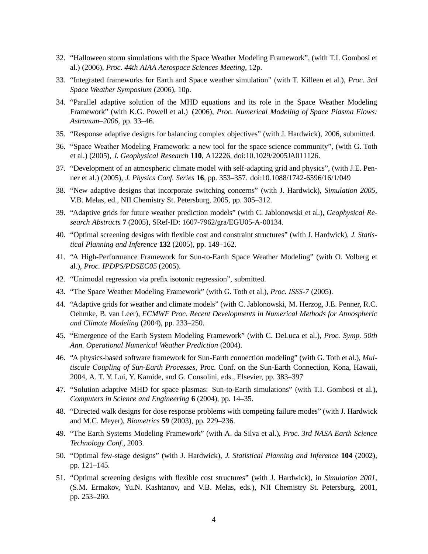- 32. "Halloween storm simulations with the Space Weather Modeling Framework", (with T.I. Gombosi et al.) (2006), *Proc. 44th AIAA Aerospace Sciences Meeting*, 12p.
- 33. "Integrated frameworks for Earth and Space weather simulation" (with T. Killeen et al.), *Proc. 3rd Space Weather Symposium* (2006), 10p.
- 34. "Parallel adaptive solution of the MHD equations and its role in the Space Weather Modeling Framework" (with K.G. Powell et al.) (2006), *Proc. Numerical Modeling of Space Plasma Flows: Astronum–2006*, pp. 33–46.
- 35. "Response adaptive designs for balancing complex objectives" (with J. Hardwick), 2006, submitted.
- 36. "Space Weather Modeling Framework: a new tool for the space science community", (with G. Toth et al.) (2005), *J. Geophysical Research* **110**, A12226, doi:10.1029/2005JA011126.
- 37. "Development of an atmospheric climate model with self-adapting grid and physics", (with J.E. Penner et al.) (2005), *J. Physics Conf. Series* **16**, pp. 353–357. doi:10.1088/1742-6596/16/1/049
- 38. "New adaptive designs that incorporate switching concerns" (with J. Hardwick), *Simulation 2005*, V.B. Melas, ed., NII Chemistry St. Petersburg, 2005, pp. 305–312.
- 39. "Adaptive grids for future weather prediction models" (with C. Jablonowski et al.), *Geophysical Research Abstracts* **7** (2005), SRef-ID: 1607-7962/gra/EGU05-A-00134.
- 40. "Optimal screening designs with flexible cost and constraint structures" (with J. Hardwick), *J. Statistical Planning and Inference* **132** (2005), pp. 149–162.
- 41. "A High-Performance Framework for Sun-to-Earth Space Weather Modeling" (with O. Volberg et al.), *Proc. IPDPS/PDSEC05* (2005).
- 42. "Unimodal regression via prefix isotonic regression", submitted.
- 43. "The Space Weather Modeling Framework" (with G. Toth et al.), *Proc. ISSS-7* (2005).
- 44. "Adaptive grids for weather and climate models" (with C. Jablonowski, M. Herzog, J.E. Penner, R.C. Oehmke, B. van Leer), *ECMWF Proc. Recent Developments in Numerical Methods for Atmospheric and Climate Modeling* (2004), pp. 233–250.
- 45. "Emergence of the Earth System Modeling Framework" (with C. DeLuca et al.), *Proc. Symp. 50th Ann. Operational Numerical Weather Prediction* (2004).
- 46. "A physics-based software framework for Sun-Earth connection modeling" (with G. Toth et al.), *Multiscale Coupling of Sun-Earth Processes*, Proc. Conf. on the Sun-Earth Connection, Kona, Hawaii, 2004, A. T. Y. Lui, Y. Kamide, and G. Consolini, eds., Elsevier, pp. 383–397
- 47. "Solution adaptive MHD for space plasmas: Sun-to-Earth simulations" (with T.I. Gombosi et al.), *Computers in Science and Engineering* **6** (2004), pp. 14–35.
- 48. "Directed walk designs for dose response problems with competing failure modes" (with J. Hardwick and M.C. Meyer), *Biometrics* **59** (2003), pp. 229–236.
- 49. "The Earth Systems Modeling Framework" (with A. da Silva et al.), *Proc. 3rd NASA Earth Science Technology Conf.*, 2003.
- 50. "Optimal few-stage designs" (with J. Hardwick), *J. Statistical Planning and Inference* **104** (2002), pp. 121–145.
- 51. "Optimal screening designs with flexible cost structures" (with J. Hardwick), in *Simulation 2001*, (S.M. Ermakov, Yu.N. Kashtanov, and V.B. Melas, eds.), NII Chemistry St. Petersburg, 2001, pp. 253–260.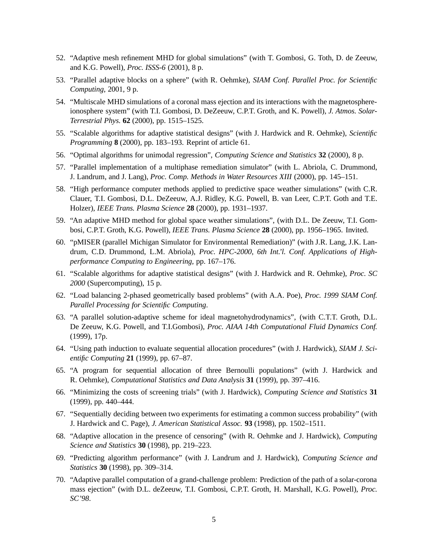- 52. "Adaptive mesh refinement MHD for global simulations" (with T. Gombosi, G. Toth, D. de Zeeuw, and K.G. Powell), *Proc. ISSS-6* (2001), 8 p.
- 53. "Parallel adaptive blocks on a sphere" (with R. Oehmke), *SIAM Conf. Parallel Proc. for Scientific Computing*, 2001, 9 p.
- 54. "Multiscale MHD simulations of a coronal mass ejection and its interactions with the magnetosphereionosphere system" (with T.I. Gombosi, D. DeZeeuw, C.P.T. Groth, and K. Powell), *J. Atmos. Solar-Terrestrial Phys.* **62** (2000), pp. 1515–1525.
- 55. "Scalable algorithms for adaptive statistical designs" (with J. Hardwick and R. Oehmke), *Scientific Programming* **8** (2000), pp. 183–193. Reprint of article 61.
- 56. "Optimal algorithms for unimodal regression", *Computing Science and Statistics* **32** (2000), 8 p.
- 57. "Parallel implementation of a multiphase remediation simulator" (with L. Abriola, C. Drummond, J. Landrum, and J. Lang), *Proc. Comp. Methods in Water Resources XIII* (2000), pp. 145–151.
- 58. "High performance computer methods applied to predictive space weather simulations" (with C.R. Clauer, T.I. Gombosi, D.L. DeZeeuw, A.J. Ridley, K.G. Powell, B. van Leer, C.P.T. Goth and T.E. Holzer), *IEEE Trans. Plasma Science* **28** (2000), pp. 1931–1937.
- 59. "An adaptive MHD method for global space weather simulations", (with D.L. De Zeeuw, T.I. Gombosi, C.P.T. Groth, K.G. Powell), *IEEE Trans. Plasma Science* **28** (2000), pp. 1956–1965. Invited.
- 60. "pMISER (parallel Michigan Simulator for Environmental Remediation)" (with J.R. Lang, J.K. Landrum, C.D. Drummond, L.M. Abriola), *Proc. HPC-2000, 6th Int.'l. Conf. Applications of Highperformance Computing to Engineering*, pp. 167–176.
- 61. "Scalable algorithms for adaptive statistical designs" (with J. Hardwick and R. Oehmke), *Proc. SC 2000* (Supercomputing), 15 p.
- 62. "Load balancing 2-phased geometrically based problems" (with A.A. Poe), *Proc. 1999 SIAM Conf. Parallel Processing for Scientific Computing*.
- 63. "A parallel solution-adaptive scheme for ideal magnetohydrodynamics", (with C.T.T. Groth, D.L. De Zeeuw, K.G. Powell, and T.I.Gombosi), *Proc. AIAA 14th Computational Fluid Dynamics Conf.* (1999), 17p.
- 64. "Using path induction to evaluate sequential allocation procedures" (with J. Hardwick), *SIAM J. Scientific Computing* **21** (1999), pp. 67–87.
- 65. "A program for sequential allocation of three Bernoulli populations" (with J. Hardwick and R. Oehmke), *Computational Statistics and Data Analysis* **31** (1999), pp. 397–416.
- 66. "Minimizing the costs of screening trials" (with J. Hardwick), *Computing Science and Statistics* **31** (1999), pp. 440–444.
- 67. "Sequentially deciding between two experiments for estimating a common success probability" (with J. Hardwick and C. Page), *J. American Statistical Assoc.* **93** (1998), pp. 1502–1511.
- 68. "Adaptive allocation in the presence of censoring" (with R. Oehmke and J. Hardwick), *Computing Science and Statistics* **30** (1998), pp. 219–223.
- 69. "Predicting algorithm performance" (with J. Landrum and J. Hardwick), *Computing Science and Statistics* **30** (1998), pp. 309–314.
- 70. "Adaptive parallel computation of a grand-challenge problem: Prediction of the path of a solar-corona mass ejection" (with D.L. deZeeuw, T.I. Gombosi, C.P.T. Groth, H. Marshall, K.G. Powell), *Proc. SC'98*.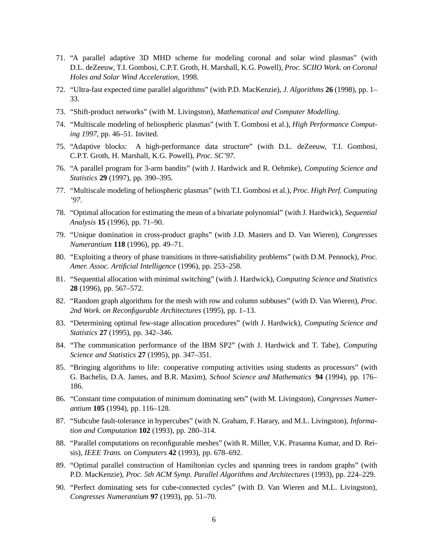- 71. "A parallel adaptive 3D MHD scheme for modeling coronal and solar wind plasmas" (with D.L. deZeeuw, T.I. Gombosi, C.P.T. Groth, H. Marshall, K.G. Powell), *Proc. SCIIO Work. on Coronal Holes and Solar Wind Acceleration*, 1998.
- 72. "Ultra-fast expected time parallel algorithms" (with P.D. MacKenzie), *J. Algorithms* **26** (1998), pp. 1– 33.
- 73. "Shift-product networks" (with M. Livingston), *Mathematical and Computer Modelling*.
- 74. "Multiscale modeling of heliospheric plasmas" (with T. Gombosi et al.), *High Performance Computing 1997*, pp. 46–51. Invited.
- 75. "Adaptive blocks: A high-performance data structure" (with D.L. deZeeuw, T.I. Gombosi, C.P.T. Groth, H. Marshall, K.G. Powell), *Proc. SC'97*.
- 76. "A parallel program for 3-arm bandits" (with J. Hardwick and R. Oehmke), *Computing Science and Statistics* **29** (1997), pp. 390–395.
- 77. "Multiscale modeling of heliospheric plasmas" (with T.I. Gombosi et al.), *Proc. High Perf. Computing '97*.
- 78. "Optimal allocation for estimating the mean of a bivariate polynomial" (with J. Hardwick), *Sequential Analysis* **15** (1996), pp. 71–90.
- 79. "Unique domination in cross-product graphs" (with J.D. Masters and D. Van Wieren), *Congresses Numerantium* **118** (1996), pp. 49–71.
- 80. "Exploiting a theory of phase transitions in three-satisfiability problems" (with D.M. Pennock), *Proc. Amer. Assoc. Artificial Intelligence* (1996), pp. 253–258.
- 81. "Sequential allocation with minimal switching" (with J. Hardwick), *Computing Science and Statistics* **28** (1996), pp. 567–572.
- 82. "Random graph algorithms for the mesh with row and column subbuses" (with D. Van Wieren), *Proc. 2nd Work. on Reconfigurable Architectures* (1995), pp. 1–13.
- 83. "Determining optimal few-stage allocation procedures" (with J. Hardwick), *Computing Science and Statistics* **27** (1995), pp. 342–346.
- 84. "The communication performance of the IBM SP2" (with J. Hardwick and T. Tabe), *Computing Science and Statistics* **27** (1995), pp. 347–351.
- 85. "Bringing algorithms to life: cooperative computing activities using students as processors" (with G. Bachelis, D.A. James, and B.R. Maxim), *School Science and Mathematics* **94** (1994), pp. 176– 186.
- 86. "Constant time computation of minimum dominating sets" (with M. Livingston), *Congresses Numerantium* **105** (1994), pp. 116–128.
- 87. "Subcube fault-tolerance in hypercubes" (with N. Graham, F. Harary, and M.L. Livingston), *Information and Computation* **102** (1993), pp. 280–314.
- 88. "Parallel computations on reconfigurable meshes" (with R. Miller, V.K. Prasanna Kumar, and D. Reisis), *IEEE Trans. on Computers* **42** (1993), pp. 678–692.
- 89. "Optimal parallel construction of Hamiltonian cycles and spanning trees in random graphs" (with P.D. MacKenzie), *Proc. 5th ACM Symp. Parallel Algorithms and Architectures* (1993), pp. 224–229.
- 90. "Perfect dominating sets for cube-connected cycles" (with D. Van Wieren and M.L. Livingston), *Congresses Numerantium* **97** (1993), pp. 51–70.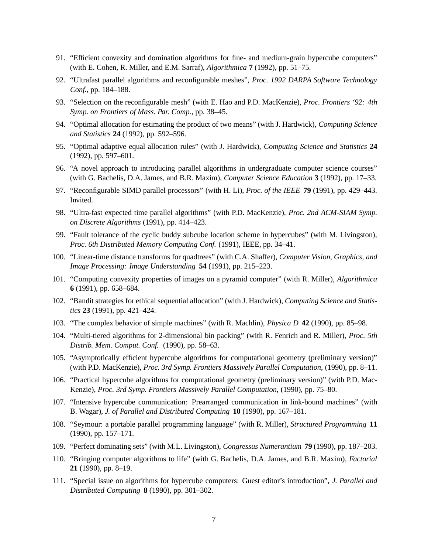- 91. "Efficient convexity and domination algorithms for fine- and medium-grain hypercube computers" (with E. Cohen, R. Miller, and E.M. Sarraf), *Algorithmica* **7** (1992), pp. 51–75.
- 92. "Ultrafast parallel algorithms and reconfigurable meshes", *Proc. 1992 DARPA Software Technology Conf.*, pp. 184–188.
- 93. "Selection on the reconfigurable mesh" (with E. Hao and P.D. MacKenzie), *Proc. Frontiers '92: 4th Symp. on Frontiers of Mass. Par. Comp.*, pp. 38–45.
- 94. "Optimal allocation for estimating the product of two means" (with J. Hardwick), *Computing Science and Statistics* **24** (1992), pp. 592–596.
- 95. "Optimal adaptive equal allocation rules" (with J. Hardwick), *Computing Science and Statistics* **24** (1992), pp. 597–601.
- 96. "A novel approach to introducing parallel algorithms in undergraduate computer science courses" (with G. Bachelis, D.A. James, and B.R. Maxim), *Computer Science Education* **3** (1992), pp. 17–33.
- 97. "Reconfigurable SIMD parallel processors" (with H. Li), *Proc. of the IEEE* **79** (1991), pp. 429–443. Invited.
- 98. "Ultra-fast expected time parallel algorithms" (with P.D. MacKenzie), *Proc. 2nd ACM-SIAM Symp. on Discrete Algorithms* (1991), pp. 414–423.
- 99. "Fault tolerance of the cyclic buddy subcube location scheme in hypercubes" (with M. Livingston), *Proc. 6th Distributed Memory Computing Conf.* (1991), IEEE, pp. 34–41.
- 100. "Linear-time distance transforms for quadtrees" (with C.A. Shaffer), *Computer Vision, Graphics, and Image Processing: Image Understanding* **54** (1991), pp. 215–223.
- 101. "Computing convexity properties of images on a pyramid computer" (with R. Miller), *Algorithmica* **6** (1991), pp. 658–684.
- 102. "Bandit strategies for ethical sequential allocation" (with J. Hardwick), *Computing Science and Statistics* **23** (1991), pp. 421–424.
- 103. "The complex behavior of simple machines" (with R. Machlin), *Physica D* **42** (1990), pp. 85–98.
- 104. "Multi-tiered algorithms for 2-dimensional bin packing" (with R. Fenrich and R. Miller), *Proc. 5th Distrib. Mem. Comput. Conf.* (1990), pp. 58–63.
- 105. "Asymptotically efficient hypercube algorithms for computational geometry (preliminary version)" (with P.D. MacKenzie), *Proc. 3rd Symp. Frontiers Massively Parallel Computation*, (1990), pp. 8–11.
- 106. "Practical hypercube algorithms for computational geometry (preliminary version)" (with P.D. Mac-Kenzie), *Proc. 3rd Symp. Frontiers Massively Parallel Computation*, (1990), pp. 75–80.
- 107. "Intensive hypercube communication: Prearranged communication in link-bound machines" (with B. Wagar), *J. of Parallel and Distributed Computing* **10** (1990), pp. 167–181.
- 108. "Seymour: a portable parallel programming language" (with R. Miller), *Structured Programming* **11** (1990), pp. 157–171.
- 109. "Perfect dominating sets" (with M.L. Livingston), *Congressus Numerantium* **79** (1990), pp. 187–203.
- 110. "Bringing computer algorithms to life" (with G. Bachelis, D.A. James, and B.R. Maxim), *Factorial* **21** (1990), pp. 8–19.
- 111. "Special issue on algorithms for hypercube computers: Guest editor's introduction", *J. Parallel and Distributed Computing* **8** (1990), pp. 301–302.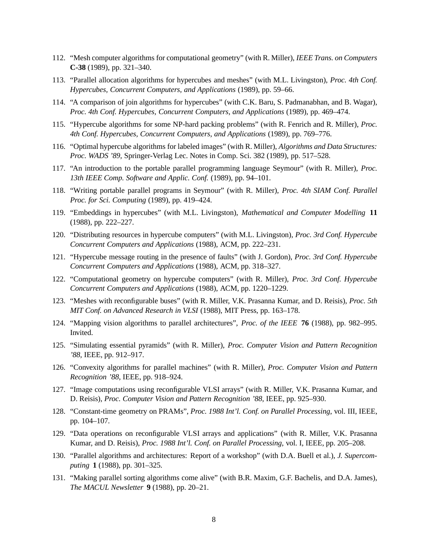- 112. "Mesh computer algorithms for computational geometry" (with R. Miller), *IEEE Trans. on Computers* **C-38** (1989), pp. 321–340.
- 113. "Parallel allocation algorithms for hypercubes and meshes" (with M.L. Livingston), *Proc. 4th Conf. Hypercubes, Concurrent Computers, and Applications* (1989), pp. 59–66.
- 114. "A comparison of join algorithms for hypercubes" (with C.K. Baru, S. Padmanabhan, and B. Wagar), *Proc. 4th Conf. Hypercubes, Concurrent Computers, and Applications* (1989), pp. 469–474.
- 115. "Hypercube algorithms for some NP-hard packing problems" (with R. Fenrich and R. Miller), *Proc. 4th Conf. Hypercubes, Concurrent Computers, and Applications* (1989), pp. 769–776.
- 116. "Optimal hypercube algorithms for labeled images" (with R. Miller), *Algorithms and Data Structures: Proc. WADS '89*, Springer-Verlag Lec. Notes in Comp. Sci. 382 (1989), pp. 517–528.
- 117. "An introduction to the portable parallel programming language Seymour" (with R. Miller), *Proc. 13th IEEE Comp. Software and Applic. Conf.* (1989), pp. 94–101.
- 118. "Writing portable parallel programs in Seymour" (with R. Miller), *Proc. 4th SIAM Conf. Parallel Proc. for Sci. Computing* (1989), pp. 419–424.
- 119. "Embeddings in hypercubes" (with M.L. Livingston), *Mathematical and Computer Modelling* **11** (1988), pp. 222–227.
- 120. "Distributing resources in hypercube computers" (with M.L. Livingston), *Proc. 3rd Conf. Hypercube Concurrent Computers and Applications* (1988), ACM, pp. 222–231.
- 121. "Hypercube message routing in the presence of faults" (with J. Gordon), *Proc. 3rd Conf. Hypercube Concurrent Computers and Applications* (1988), ACM, pp. 318–327.
- 122. "Computational geometry on hypercube computers" (with R. Miller), *Proc. 3rd Conf. Hypercube Concurrent Computers and Applications* (1988), ACM, pp. 1220–1229.
- 123. "Meshes with reconfigurable buses" (with R. Miller, V.K. Prasanna Kumar, and D. Reisis), *Proc. 5th MIT Conf. on Advanced Research in VLSI* (1988), MIT Press, pp. 163–178.
- 124. "Mapping vision algorithms to parallel architectures", *Proc. of the IEEE* **76** (1988), pp. 982–995. Invited.
- 125. "Simulating essential pyramids" (with R. Miller), *Proc. Computer Vision and Pattern Recognition '88*, IEEE, pp. 912–917.
- 126. "Convexity algorithms for parallel machines" (with R. Miller), *Proc. Computer Vision and Pattern Recognition '88*, IEEE, pp. 918–924.
- 127. "Image computations using reconfigurable VLSI arrays" (with R. Miller, V.K. Prasanna Kumar, and D. Reisis), *Proc. Computer Vision and Pattern Recognition '88*, IEEE, pp. 925–930.
- 128. "Constant-time geometry on PRAMs", *Proc. 1988 Int'l. Conf. on Parallel Processing*, vol. III, IEEE, pp. 104–107.
- 129. "Data operations on reconfigurable VLSI arrays and applications" (with R. Miller, V.K. Prasanna Kumar, and D. Reisis), *Proc. 1988 Int'l. Conf. on Parallel Processing*, vol. I, IEEE, pp. 205–208.
- 130. "Parallel algorithms and architectures: Report of a workshop" (with D.A. Buell et al.), *J. Supercomputing* **1** (1988), pp. 301–325.
- 131. "Making parallel sorting algorithms come alive" (with B.R. Maxim, G.F. Bachelis, and D.A. James), *The MACUL Newsletter* **9** (1988), pp. 20–21.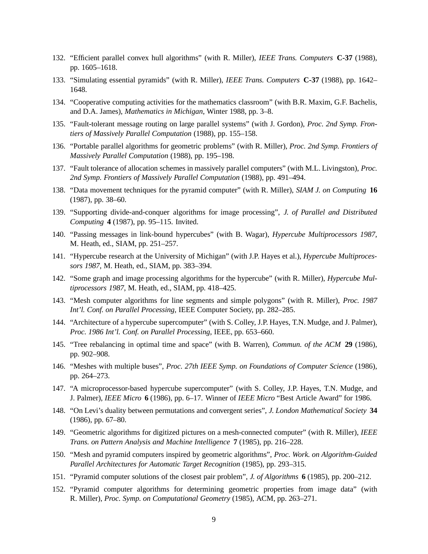- 132. "Efficient parallel convex hull algorithms" (with R. Miller), *IEEE Trans. Computers* **C-37** (1988), pp. 1605–1618.
- 133. "Simulating essential pyramids" (with R. Miller), *IEEE Trans. Computers* **C-37** (1988), pp. 1642– 1648.
- 134. "Cooperative computing activities for the mathematics classroom" (with B.R. Maxim, G.F. Bachelis, and D.A. James), *Mathematics in Michigan*, Winter 1988, pp. 3–8.
- 135. "Fault-tolerant message routing on large parallel systems" (with J. Gordon), *Proc. 2nd Symp. Frontiers of Massively Parallel Computation* (1988), pp. 155–158.
- 136. "Portable parallel algorithms for geometric problems" (with R. Miller), *Proc. 2nd Symp. Frontiers of Massively Parallel Computation* (1988), pp. 195–198.
- 137. "Fault tolerance of allocation schemes in massively parallel computers" (with M.L. Livingston), *Proc. 2nd Symp. Frontiers of Massively Parallel Computation* (1988), pp. 491–494.
- 138. "Data movement techniques for the pyramid computer" (with R. Miller), *SIAM J. on Computing* **16** (1987), pp. 38–60.
- 139. "Supporting divide-and-conquer algorithms for image processing", *J. of Parallel and Distributed Computing* **4** (1987), pp. 95–115. Invited.
- 140. "Passing messages in link-bound hypercubes" (with B. Wagar), *Hypercube Multiprocessors 1987*, M. Heath, ed., SIAM, pp. 251–257.
- 141. "Hypercube research at the University of Michigan" (with J.P. Hayes et al.), *Hypercube Multiprocessors 1987*, M. Heath, ed., SIAM, pp. 383–394.
- 142. "Some graph and image processing algorithms for the hypercube" (with R. Miller), *Hypercube Multiprocessors 1987*, M. Heath, ed., SIAM, pp. 418–425.
- 143. "Mesh computer algorithms for line segments and simple polygons" (with R. Miller), *Proc. 1987 Int'l. Conf. on Parallel Processing*, IEEE Computer Society, pp. 282–285.
- 144. "Architecture of a hypercube supercomputer" (with S. Colley, J.P. Hayes, T.N. Mudge, and J. Palmer), *Proc. 1986 Int'l. Conf. on Parallel Processing*, IEEE, pp. 653–660.
- 145. "Tree rebalancing in optimal time and space" (with B. Warren), *Commun. of the ACM* **29** (1986), pp. 902–908.
- 146. "Meshes with multiple buses", *Proc. 27th IEEE Symp. on Foundations of Computer Science* (1986), pp. 264–273.
- 147. "A microprocessor-based hypercube supercomputer" (with S. Colley, J.P. Hayes, T.N. Mudge, and J. Palmer), *IEEE Micro* **6** (1986), pp. 6–17. Winner of *IEEE Micro* "Best Article Award" for 1986.
- 148. "On Levi's duality between permutations and convergent series", *J. London Mathematical Society* **34** (1986), pp. 67–80.
- 149. "Geometric algorithms for digitized pictures on a mesh-connected computer" (with R. Miller), *IEEE Trans. on Pattern Analysis and Machine Intelligence* **7** (1985), pp. 216–228.
- 150. "Mesh and pyramid computers inspired by geometric algorithms", *Proc. Work. on Algorithm-Guided Parallel Architectures for Automatic Target Recognition* (1985), pp. 293–315.
- 151. "Pyramid computer solutions of the closest pair problem", *J. of Algorithms* **6** (1985), pp. 200–212.
- 152. "Pyramid computer algorithms for determining geometric properties from image data" (with R. Miller), *Proc. Symp. on Computational Geometry* (1985), ACM, pp. 263–271.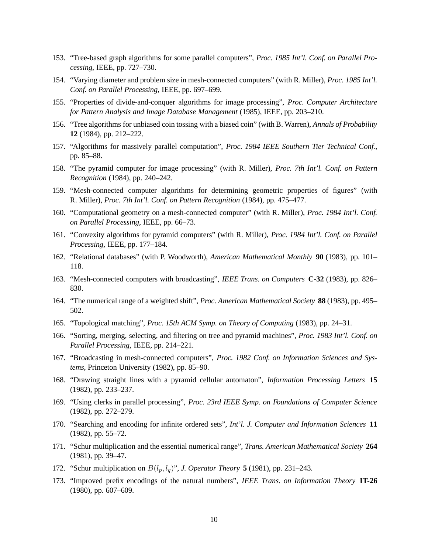- 153. "Tree-based graph algorithms for some parallel computers", *Proc. 1985 Int'l. Conf. on Parallel Processing*, IEEE, pp. 727–730.
- 154. "Varying diameter and problem size in mesh-connected computers" (with R. Miller), *Proc. 1985 Int'l. Conf. on Parallel Processing*, IEEE, pp. 697–699.
- 155. "Properties of divide-and-conquer algorithms for image processing", *Proc. Computer Architecture for Pattern Analysis and Image Database Management* (1985), IEEE, pp. 203–210.
- 156. "Tree algorithms for unbiased coin tossing with a biased coin" (with B. Warren), *Annals of Probability* **12** (1984), pp. 212–222.
- 157. "Algorithms for massively parallel computation", *Proc. 1984 IEEE Southern Tier Technical Conf.*, pp. 85–88.
- 158. "The pyramid computer for image processing" (with R. Miller), *Proc. 7th Int'l. Conf. on Pattern Recognition* (1984), pp. 240–242.
- 159. "Mesh-connected computer algorithms for determining geometric properties of figures" (with R. Miller), *Proc. 7th Int'l. Conf. on Pattern Recognition* (1984), pp. 475–477.
- 160. "Computational geometry on a mesh-connected computer" (with R. Miller), *Proc. 1984 Int'l. Conf. on Parallel Processing*, IEEE, pp. 66–73.
- 161. "Convexity algorithms for pyramid computers" (with R. Miller), *Proc. 1984 Int'l. Conf. on Parallel Processing*, IEEE, pp. 177–184.
- 162. "Relational databases" (with P. Woodworth), *American Mathematical Monthly* **90** (1983), pp. 101– 118.
- 163. "Mesh-connected computers with broadcasting", *IEEE Trans. on Computers* **C-32** (1983), pp. 826– 830.
- 164. "The numerical range of a weighted shift", *Proc. American Mathematical Society* **88** (1983), pp. 495– 502.
- 165. "Topological matching", *Proc. 15th ACM Symp. on Theory of Computing* (1983), pp. 24–31.
- 166. "Sorting, merging, selecting, and filtering on tree and pyramid machines", *Proc. 1983 Int'l. Conf. on Parallel Processing*, IEEE, pp. 214–221.
- 167. "Broadcasting in mesh-connected computers", *Proc. 1982 Conf. on Information Sciences and Systems*, Princeton University (1982), pp. 85–90.
- 168. "Drawing straight lines with a pyramid cellular automaton", *Information Processing Letters* **15** (1982), pp. 233–237.
- 169. "Using clerks in parallel processing", *Proc. 23rd IEEE Symp. on Foundations of Computer Science* (1982), pp. 272–279.
- 170. "Searching and encoding for infinite ordered sets", *Int'l. J. Computer and Information Sciences* **11** (1982), pp. 55–72.
- 171. "Schur multiplication and the essential numerical range", *Trans. American Mathematical Society* **264** (1981), pp. 39–47.
- 172. "Schur multiplication on  $B(l_p, l_q)$ ", *J. Operator Theory* **5** (1981), pp. 231–243.
- 173. "Improved prefix encodings of the natural numbers", *IEEE Trans. on Information Theory* **IT-26** (1980), pp. 607–609.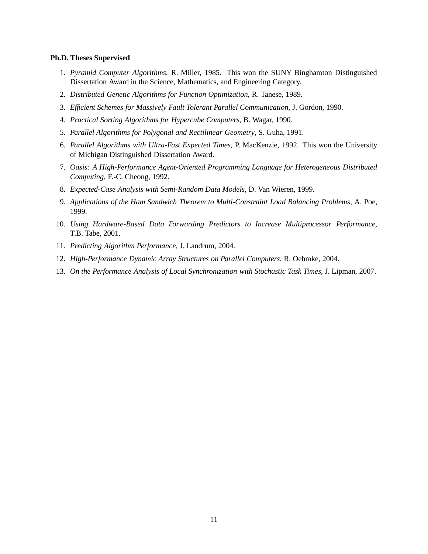#### **Ph.D. Theses Supervised**

- 1. *Pyramid Computer Algorithms*, R. Miller, 1985. This won the SUNY Binghamton Distinguished Dissertation Award in the Science, Mathematics, and Engineering Category.
- 2. *Distributed Genetic Algorithms for Function Optimization*, R. Tanese, 1989.
- 3. *Efficient Schemes for Massively Fault Tolerant Parallel Communication*, J. Gordon, 1990.
- 4. *Practical Sorting Algorithms for Hypercube Computers*, B. Wagar, 1990.
- 5. *Parallel Algorithms for Polygonal and Rectilinear Geometry*, S. Guha, 1991.
- 6. *Parallel Algorithms with Ultra-Fast Expected Times*, P. MacKenzie, 1992. This won the University of Michigan Distinguished Dissertation Award.
- 7. *Oasis: A High-Performance Agent-Oriented Programming Language for Heterogeneous Distributed Computing*, F.-C. Cheong, 1992.
- 8. *Expected-Case Analysis with Semi-Random Data Models*, D. Van Wieren, 1999.
- 9. *Applications of the Ham Sandwich Theorem to Multi-Constraint Load Balancing Problems*, A. Poe, 1999.
- 10. *Using Hardware-Based Data Forwarding Predictors to Increase Multiprocessor Performance*, T.B. Tabe, 2001.
- 11. *Predicting Algorithm Performance*, J. Landrum, 2004.
- 12. *High-Performance Dynamic Array Structures on Parallel Computers*, R. Oehmke, 2004.
- 13. *On the Performance Analysis of Local Synchronization with Stochastic Task Times*, J. Lipman, 2007.